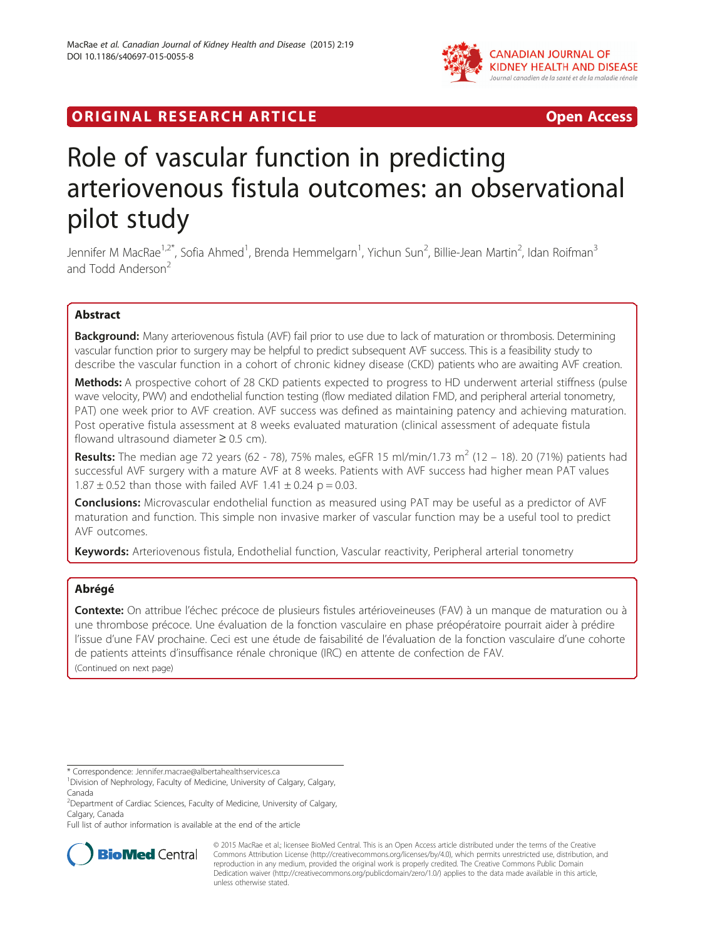

## **ORIGINAL RESEARCH ARTICLE CONSUMING ACCESS**

# Role of vascular function in predicting arteriovenous fistula outcomes: an observational pilot study

Jennifer M MacRae<sup>1,2\*</sup>, Sofia Ahmed<sup>1</sup>, Brenda Hemmelgarn<sup>1</sup>, Yichun Sun<sup>2</sup>, Billie-Jean Martin<sup>2</sup>, Idan Roifman<sup>3</sup> and Todd Anderson<sup>2</sup>

## Abstract

**Background:** Many arteriovenous fistula (AVF) fail prior to use due to lack of maturation or thrombosis. Determining vascular function prior to surgery may be helpful to predict subsequent AVF success. This is a feasibility study to describe the vascular function in a cohort of chronic kidney disease (CKD) patients who are awaiting AVF creation.

Methods: A prospective cohort of 28 CKD patients expected to progress to HD underwent arterial stiffness (pulse wave velocity, PWV) and endothelial function testing (flow mediated dilation FMD, and peripheral arterial tonometry, PAT) one week prior to AVF creation. AVF success was defined as maintaining patency and achieving maturation. Post operative fistula assessment at 8 weeks evaluated maturation (clinical assessment of adequate fistula flowand ultrasound diameter  $\geq$  0.5 cm).

**Results:** The median age 72 years (62 - 78), 75% males, eGFR 15 ml/min/1.73 m<sup>2</sup> (12 - 18). 20 (71%) patients had successful AVF surgery with a mature AVF at 8 weeks. Patients with AVF success had higher mean PAT values  $1.87 \pm 0.52$  than those with failed AVF  $1.41 \pm 0.24$  p = 0.03.

**Conclusions:** Microvascular endothelial function as measured using PAT may be useful as a predictor of AVF maturation and function. This simple non invasive marker of vascular function may be a useful tool to predict AVF outcomes.

Keywords: Arteriovenous fistula, Endothelial function, Vascular reactivity, Peripheral arterial tonometry

## Abrégé

Contexte: On attribue l'échec précoce de plusieurs fistules artérioveineuses (FAV) à un manque de maturation ou à une thrombose précoce. Une évaluation de la fonction vasculaire en phase préopératoire pourrait aider à prédire l'issue d'une FAV prochaine. Ceci est une étude de faisabilité de l'évaluation de la fonction vasculaire d'une cohorte de patients atteints d'insuffisance rénale chronique (IRC) en attente de confection de FAV. (Continued on next page)

Full list of author information is available at the end of the article



© 2015 MacRae et al.; licensee BioMed Central. This is an Open Access article distributed under the terms of the Creative Commons Attribution License [\(http://creativecommons.org/licenses/by/4.0\)](http://creativecommons.org/licenses/by/4.0), which permits unrestricted use, distribution, and reproduction in any medium, provided the original work is properly credited. The Creative Commons Public Domain Dedication waiver [\(http://creativecommons.org/publicdomain/zero/1.0/](http://creativecommons.org/publicdomain/zero/1.0/)) applies to the data made available in this article, unless otherwise stated.

<sup>\*</sup> Correspondence: [Jennifer.macrae@albertahealthservices.ca](mailto:Jennifer.macrae@albertahealthservices.ca) <sup>1</sup>

<sup>&</sup>lt;sup>1</sup> Division of Nephrology, Faculty of Medicine, University of Calgary, Calgary, Canada

<sup>&</sup>lt;sup>2</sup>Department of Cardiac Sciences, Faculty of Medicine, University of Calgary, Calgary, Canada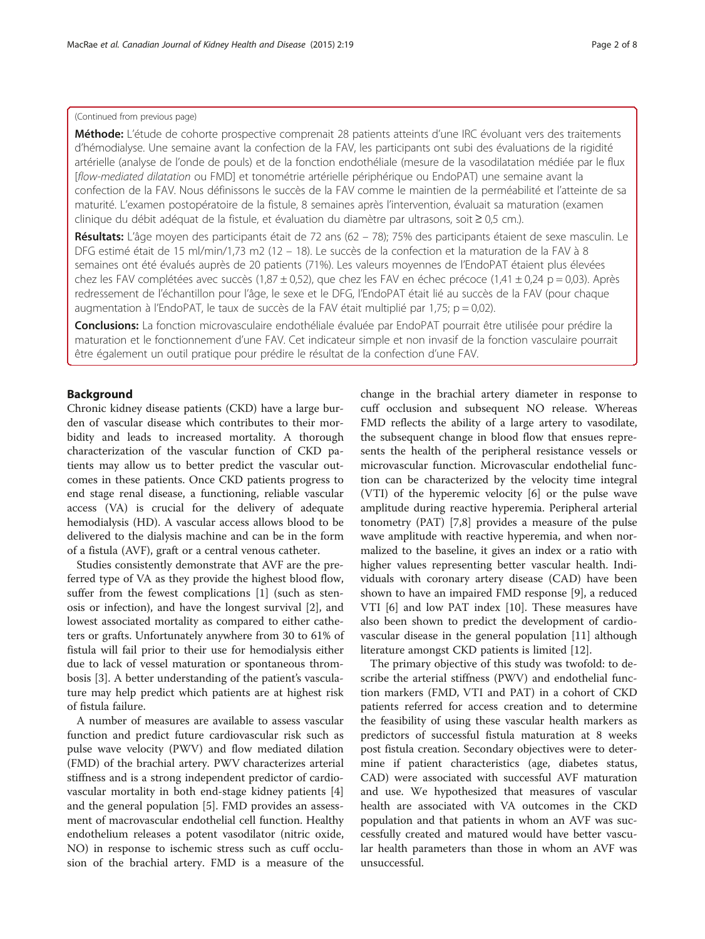## (Continued from previous page)

Méthode: L'étude de cohorte prospective comprenait 28 patients atteints d'une IRC évoluant vers des traitements d'hémodialyse. Une semaine avant la confection de la FAV, les participants ont subi des évaluations de la rigidité artérielle (analyse de l'onde de pouls) et de la fonction endothéliale (mesure de la vasodilatation médiée par le flux [flow-mediated dilatation ou FMD] et tonométrie artérielle périphérique ou EndoPAT) une semaine avant la confection de la FAV. Nous définissons le succès de la FAV comme le maintien de la perméabilité et l'atteinte de sa maturité. L'examen postopératoire de la fistule, 8 semaines après l'intervention, évaluait sa maturation (examen clinique du débit adéquat de la fistule, et évaluation du diamètre par ultrasons, soit ≥ 0,5 cm.).

Résultats: L'âge moyen des participants était de 72 ans (62 – 78); 75% des participants étaient de sexe masculin. Le DFG estimé était de 15 ml/min/1,73 m2 (12 – 18). Le succès de la confection et la maturation de la FAV à 8 semaines ont été évalués auprès de 20 patients (71%). Les valeurs moyennes de l'EndoPAT étaient plus élevées chez les FAV complétées avec succès (1,87 ± 0,52), que chez les FAV en échec précoce (1,41 ± 0,24 p = 0,03). Après redressement de l'échantillon pour l'âge, le sexe et le DFG, l'EndoPAT était lié au succès de la FAV (pour chaque augmentation à l'EndoPAT, le taux de succès de la FAV était multiplié par 1,75;  $p = 0.02$ ).

Conclusions: La fonction microvasculaire endothéliale évaluée par EndoPAT pourrait être utilisée pour prédire la maturation et le fonctionnement d'une FAV. Cet indicateur simple et non invasif de la fonction vasculaire pourrait être également un outil pratique pour prédire le résultat de la confection d'une FAV.

## Background

Chronic kidney disease patients (CKD) have a large burden of vascular disease which contributes to their morbidity and leads to increased mortality. A thorough characterization of the vascular function of CKD patients may allow us to better predict the vascular outcomes in these patients. Once CKD patients progress to end stage renal disease, a functioning, reliable vascular access (VA) is crucial for the delivery of adequate hemodialysis (HD). A vascular access allows blood to be delivered to the dialysis machine and can be in the form of a fistula (AVF), graft or a central venous catheter.

Studies consistently demonstrate that AVF are the preferred type of VA as they provide the highest blood flow, suffer from the fewest complications [\[1\]](#page-6-0) (such as stenosis or infection), and have the longest survival [[2\]](#page-6-0), and lowest associated mortality as compared to either catheters or grafts. Unfortunately anywhere from 30 to 61% of fistula will fail prior to their use for hemodialysis either due to lack of vessel maturation or spontaneous thrombosis [\[3\]](#page-6-0). A better understanding of the patient's vasculature may help predict which patients are at highest risk of fistula failure.

A number of measures are available to assess vascular function and predict future cardiovascular risk such as pulse wave velocity (PWV) and flow mediated dilation (FMD) of the brachial artery. PWV characterizes arterial stiffness and is a strong independent predictor of cardiovascular mortality in both end-stage kidney patients [\[4](#page-6-0)] and the general population [\[5](#page-6-0)]. FMD provides an assessment of macrovascular endothelial cell function. Healthy endothelium releases a potent vasodilator (nitric oxide, NO) in response to ischemic stress such as cuff occlusion of the brachial artery. FMD is a measure of the

change in the brachial artery diameter in response to cuff occlusion and subsequent NO release. Whereas FMD reflects the ability of a large artery to vasodilate, the subsequent change in blood flow that ensues represents the health of the peripheral resistance vessels or microvascular function. Microvascular endothelial function can be characterized by the velocity time integral (VTI) of the hyperemic velocity [\[6\]](#page-6-0) or the pulse wave amplitude during reactive hyperemia. Peripheral arterial tonometry (PAT) [\[7,8](#page-6-0)] provides a measure of the pulse wave amplitude with reactive hyperemia, and when normalized to the baseline, it gives an index or a ratio with higher values representing better vascular health. Individuals with coronary artery disease (CAD) have been shown to have an impaired FMD response [\[9](#page-6-0)], a reduced VTI [[6\]](#page-6-0) and low PAT index [\[10](#page-6-0)]. These measures have also been shown to predict the development of cardiovascular disease in the general population [\[11\]](#page-6-0) although literature amongst CKD patients is limited [\[12\]](#page-6-0).

The primary objective of this study was twofold: to describe the arterial stiffness (PWV) and endothelial function markers (FMD, VTI and PAT) in a cohort of CKD patients referred for access creation and to determine the feasibility of using these vascular health markers as predictors of successful fistula maturation at 8 weeks post fistula creation. Secondary objectives were to determine if patient characteristics (age, diabetes status, CAD) were associated with successful AVF maturation and use. We hypothesized that measures of vascular health are associated with VA outcomes in the CKD population and that patients in whom an AVF was successfully created and matured would have better vascular health parameters than those in whom an AVF was unsuccessful.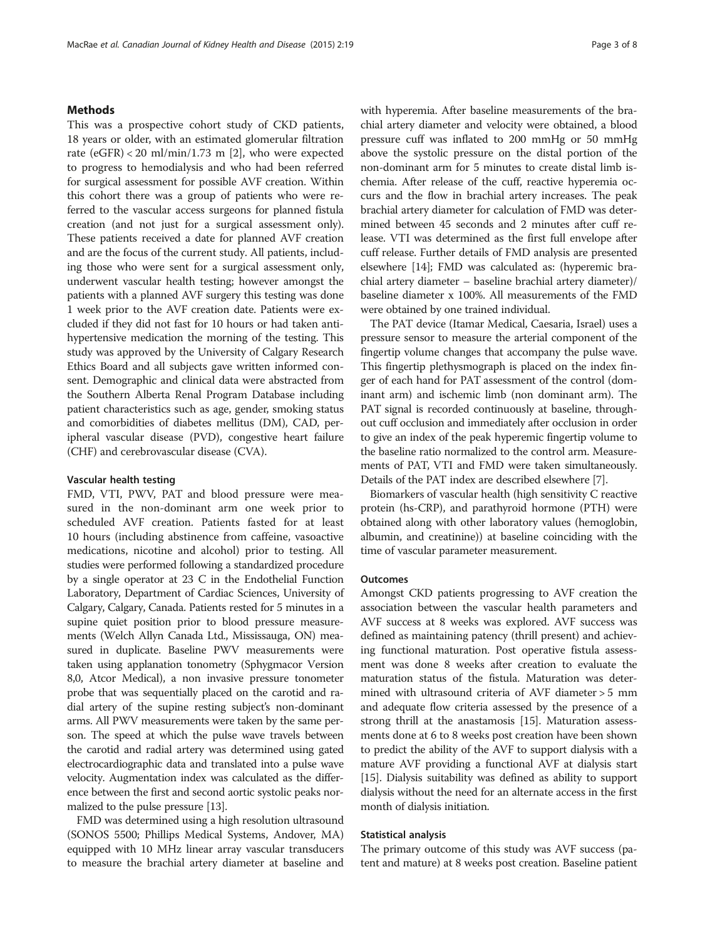## **Methods**

This was a prospective cohort study of CKD patients, 18 years or older, with an estimated glomerular filtration rate (eGFR) < 20 ml/min/1.73 m [[2\]](#page-6-0), who were expected to progress to hemodialysis and who had been referred for surgical assessment for possible AVF creation. Within this cohort there was a group of patients who were referred to the vascular access surgeons for planned fistula creation (and not just for a surgical assessment only). These patients received a date for planned AVF creation and are the focus of the current study. All patients, including those who were sent for a surgical assessment only, underwent vascular health testing; however amongst the patients with a planned AVF surgery this testing was done 1 week prior to the AVF creation date. Patients were excluded if they did not fast for 10 hours or had taken antihypertensive medication the morning of the testing. This study was approved by the University of Calgary Research Ethics Board and all subjects gave written informed consent. Demographic and clinical data were abstracted from the Southern Alberta Renal Program Database including patient characteristics such as age, gender, smoking status and comorbidities of diabetes mellitus (DM), CAD, peripheral vascular disease (PVD), congestive heart failure (CHF) and cerebrovascular disease (CVA).

## Vascular health testing

FMD, VTI, PWV, PAT and blood pressure were measured in the non-dominant arm one week prior to scheduled AVF creation. Patients fasted for at least 10 hours (including abstinence from caffeine, vasoactive medications, nicotine and alcohol) prior to testing. All studies were performed following a standardized procedure by a single operator at 23 C in the Endothelial Function Laboratory, Department of Cardiac Sciences, University of Calgary, Calgary, Canada. Patients rested for 5 minutes in a supine quiet position prior to blood pressure measurements (Welch Allyn Canada Ltd., Mississauga, ON) measured in duplicate. Baseline PWV measurements were taken using applanation tonometry (Sphygmacor Version 8,0, Atcor Medical), a non invasive pressure tonometer probe that was sequentially placed on the carotid and radial artery of the supine resting subject's non-dominant arms. All PWV measurements were taken by the same person. The speed at which the pulse wave travels between the carotid and radial artery was determined using gated electrocardiographic data and translated into a pulse wave velocity. Augmentation index was calculated as the difference between the first and second aortic systolic peaks normalized to the pulse pressure [[13](#page-6-0)].

FMD was determined using a high resolution ultrasound (SONOS 5500; Phillips Medical Systems, Andover, MA) equipped with 10 MHz linear array vascular transducers to measure the brachial artery diameter at baseline and with hyperemia. After baseline measurements of the brachial artery diameter and velocity were obtained, a blood pressure cuff was inflated to 200 mmHg or 50 mmHg above the systolic pressure on the distal portion of the non-dominant arm for 5 minutes to create distal limb ischemia. After release of the cuff, reactive hyperemia occurs and the flow in brachial artery increases. The peak brachial artery diameter for calculation of FMD was determined between 45 seconds and 2 minutes after cuff release. VTI was determined as the first full envelope after cuff release. Further details of FMD analysis are presented elsewhere [\[14\]](#page-7-0); FMD was calculated as: (hyperemic brachial artery diameter – baseline brachial artery diameter)/ baseline diameter x 100%. All measurements of the FMD were obtained by one trained individual.

The PAT device (Itamar Medical, Caesaria, Israel) uses a pressure sensor to measure the arterial component of the fingertip volume changes that accompany the pulse wave. This fingertip plethysmograph is placed on the index finger of each hand for PAT assessment of the control (dominant arm) and ischemic limb (non dominant arm). The PAT signal is recorded continuously at baseline, throughout cuff occlusion and immediately after occlusion in order to give an index of the peak hyperemic fingertip volume to the baseline ratio normalized to the control arm. Measurements of PAT, VTI and FMD were taken simultaneously. Details of the PAT index are described elsewhere [[7\]](#page-6-0).

Biomarkers of vascular health (high sensitivity C reactive protein (hs-CRP), and parathyroid hormone (PTH) were obtained along with other laboratory values (hemoglobin, albumin, and creatinine)) at baseline coinciding with the time of vascular parameter measurement.

#### **Outcomes**

Amongst CKD patients progressing to AVF creation the association between the vascular health parameters and AVF success at 8 weeks was explored. AVF success was defined as maintaining patency (thrill present) and achieving functional maturation. Post operative fistula assessment was done 8 weeks after creation to evaluate the maturation status of the fistula. Maturation was determined with ultrasound criteria of AVF diameter > 5 mm and adequate flow criteria assessed by the presence of a strong thrill at the anastamosis [\[15](#page-7-0)]. Maturation assessments done at 6 to 8 weeks post creation have been shown to predict the ability of the AVF to support dialysis with a mature AVF providing a functional AVF at dialysis start [[15](#page-7-0)]. Dialysis suitability was defined as ability to support dialysis without the need for an alternate access in the first month of dialysis initiation.

## Statistical analysis

The primary outcome of this study was AVF success (patent and mature) at 8 weeks post creation. Baseline patient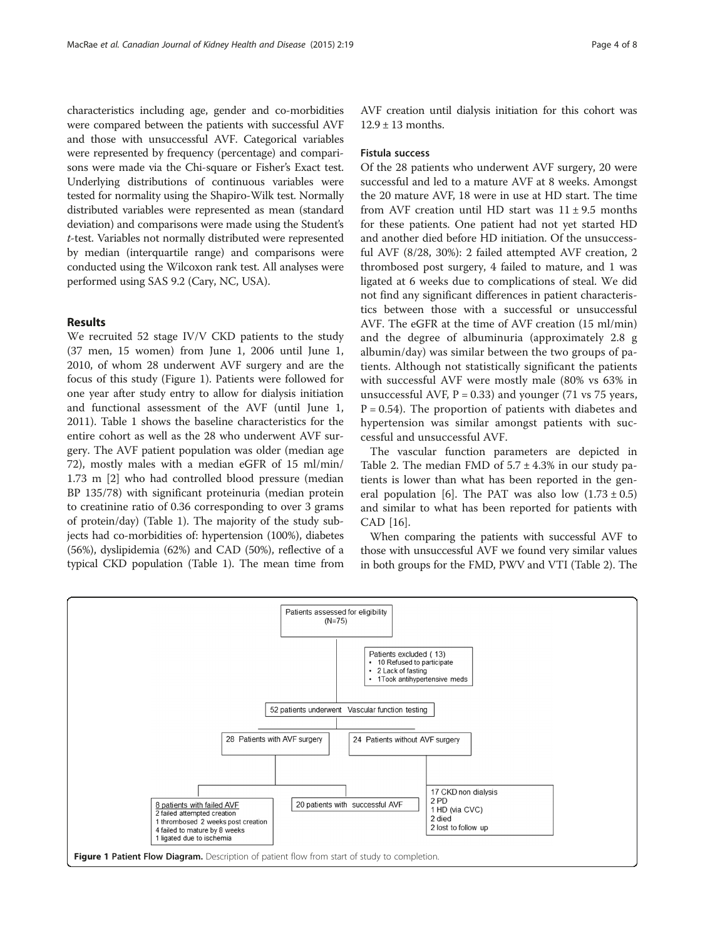characteristics including age, gender and co-morbidities were compared between the patients with successful AVF and those with unsuccessful AVF. Categorical variables were represented by frequency (percentage) and comparisons were made via the Chi-square or Fisher's Exact test. Underlying distributions of continuous variables were tested for normality using the Shapiro-Wilk test. Normally distributed variables were represented as mean (standard deviation) and comparisons were made using the Student's t-test. Variables not normally distributed were represented by median (interquartile range) and comparisons were conducted using the Wilcoxon rank test. All analyses were performed using SAS 9.2 (Cary, NC, USA).

## Results

We recruited 52 stage IV/V CKD patients to the study (37 men, 15 women) from June 1, 2006 until June 1, 2010, of whom 28 underwent AVF surgery and are the focus of this study (Figure 1). Patients were followed for one year after study entry to allow for dialysis initiation and functional assessment of the AVF (until June 1, 2011). Table [1](#page-4-0) shows the baseline characteristics for the entire cohort as well as the 28 who underwent AVF surgery. The AVF patient population was older (median age 72), mostly males with a median eGFR of 15 ml/min/ 1.73 m [\[2](#page-6-0)] who had controlled blood pressure (median BP 135/78) with significant proteinuria (median protein to creatinine ratio of 0.36 corresponding to over 3 grams of protein/day) (Table [1](#page-4-0)). The majority of the study subjects had co-morbidities of: hypertension (100%), diabetes (56%), dyslipidemia (62%) and CAD (50%), reflective of a typical CKD population (Table [1\)](#page-4-0). The mean time from AVF creation until dialysis initiation for this cohort was  $12.9 \pm 13$  months.

## Fistula success

Of the 28 patients who underwent AVF surgery, 20 were successful and led to a mature AVF at 8 weeks. Amongst the 20 mature AVF, 18 were in use at HD start. The time from AVF creation until HD start was  $11 \pm 9.5$  months for these patients. One patient had not yet started HD and another died before HD initiation. Of the unsuccessful AVF (8/28, 30%): 2 failed attempted AVF creation, 2 thrombosed post surgery, 4 failed to mature, and 1 was ligated at 6 weeks due to complications of steal. We did not find any significant differences in patient characteristics between those with a successful or unsuccessful AVF. The eGFR at the time of AVF creation (15 ml/min) and the degree of albuminuria (approximately 2.8 g albumin/day) was similar between the two groups of patients. Although not statistically significant the patients with successful AVF were mostly male (80% vs 63% in unsuccessful AVF,  $P = 0.33$ ) and younger (71 vs 75 years,  $P = 0.54$ ). The proportion of patients with diabetes and hypertension was similar amongst patients with successful and unsuccessful AVF.

The vascular function parameters are depicted in Table [2.](#page-4-0) The median FMD of  $5.7 \pm 4.3\%$  in our study patients is lower than what has been reported in the gen-eral population [\[6](#page-6-0)]. The PAT was also low  $(1.73 \pm 0.5)$ and similar to what has been reported for patients with CAD [[16\]](#page-7-0).

When comparing the patients with successful AVF to those with unsuccessful AVF we found very similar values in both groups for the FMD, PWV and VTI (Table [2\)](#page-4-0). The

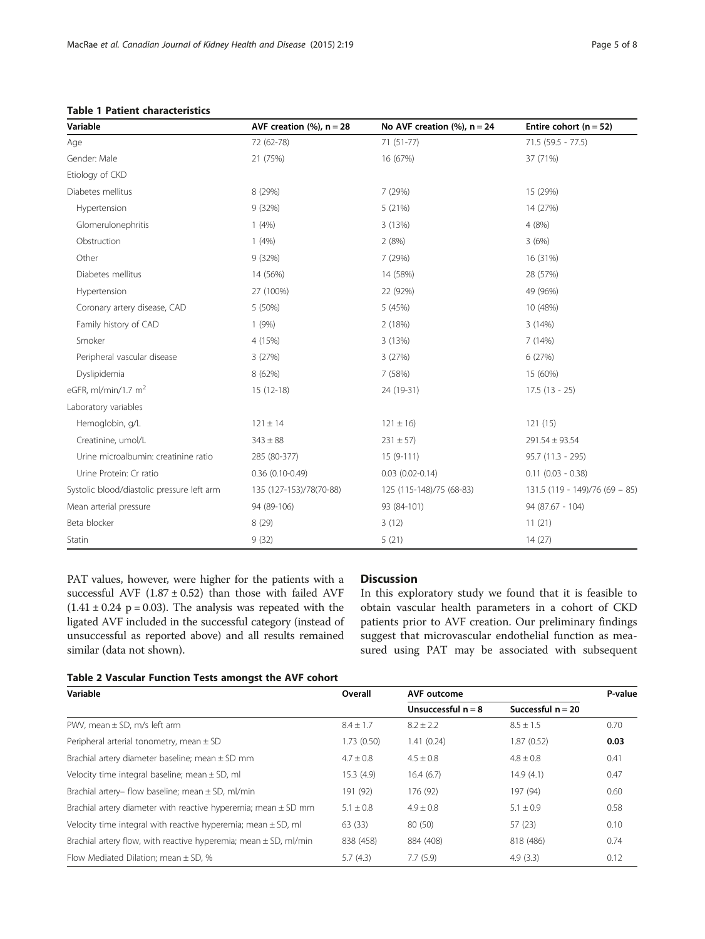<span id="page-4-0"></span>

| <b>Table 1 Patient characteristics</b> |
|----------------------------------------|
|                                        |

| Variable                                   | AVF creation $(\%)$ , n = 28 | No AVF creation $(\%)$ , n = 24 | Entire cohort ( $n = 52$ )     |
|--------------------------------------------|------------------------------|---------------------------------|--------------------------------|
| Age                                        | 72 (62-78)                   | $71(51-77)$                     | $71.5(59.5 - 77.5)$            |
| Gender: Male                               | 21 (75%)                     | 16 (67%)                        | 37 (71%)                       |
| Etiology of CKD                            |                              |                                 |                                |
| Diabetes mellitus                          | 8 (29%)                      | 7 (29%)                         | 15 (29%)                       |
| Hypertension                               | 9 (32%)                      | 5(21%)                          | 14 (27%)                       |
| Glomerulonephritis                         | 1(4%)                        | 3 (13%)                         | 4 (8%)                         |
| Obstruction                                | 1(4%)                        | 2(8%)                           | 3(6%)                          |
| Other                                      | 9 (32%)                      | 7 (29%)                         | 16 (31%)                       |
| Diabetes mellitus                          | 14 (56%)                     | 14 (58%)                        | 28 (57%)                       |
| Hypertension                               | 27 (100%)                    | 22 (92%)                        | 49 (96%)                       |
| Coronary artery disease, CAD               | 5 (50%)                      | 5 (45%)                         | 10 (48%)                       |
| Family history of CAD                      | 1(9%)                        | 2(18%)                          | 3(14%)                         |
| Smoker                                     | 4 (15%)                      | 3(13%)                          | 7(14%)                         |
| Peripheral vascular disease                | 3(27%)                       | 3(27%)                          | 6(27%)                         |
| Dyslipidemia                               | 8 (62%)                      | 7 (58%)                         | 15 (60%)                       |
| eGFR, ml/min/1.7 $m2$                      | $15(12-18)$                  | 24 (19-31)                      | $17.5(13 - 25)$                |
| Laboratory variables                       |                              |                                 |                                |
| Hemoglobin, g/L                            | $121 \pm 14$                 | $121 \pm 16$ )                  | 121(15)                        |
| Creatinine, umol/L                         | $343 \pm 88$                 | $231 \pm 57$                    | $291.54 \pm 93.54$             |
| Urine microalbumin: creatinine ratio       | 285 (80-377)                 | $15(9-111)$                     | $95.7(11.3 - 295)$             |
| Urine Protein: Cr ratio                    | $0.36(0.10-0.49)$            | $0.03$ (0.02-0.14)              | $0.11(0.03 - 0.38)$            |
| Systolic blood/diastolic pressure left arm | 135 (127-153)/78(70-88)      | 125 (115-148)/75 (68-83)        | $131.5(119 - 149)/76(69 - 85)$ |
| Mean arterial pressure                     | 94 (89-106)                  | 93 (84-101)                     | 94 (87.67 - 104)               |
| Beta blocker                               | 8(29)                        | 3(12)                           | 11(21)                         |
| Statin                                     | 9(32)                        | 5(21)                           | 14(27)                         |

PAT values, however, were higher for the patients with a successful AVF  $(1.87 \pm 0.52)$  than those with failed AVF  $(1.41 \pm 0.24 \text{ p} = 0.03)$ . The analysis was repeated with the ligated AVF included in the successful category (instead of unsuccessful as reported above) and all results remained similar (data not shown).

## **Discussion**

In this exploratory study we found that it is feasible to obtain vascular health parameters in a cohort of CKD patients prior to AVF creation. Our preliminary findings suggest that microvascular endothelial function as measured using PAT may be associated with subsequent

Table 2 Vascular Function Tests amongst the AVF cohort

| Variable                                                             | Overall       | <b>AVF</b> outcome   |                     | P-value |
|----------------------------------------------------------------------|---------------|----------------------|---------------------|---------|
|                                                                      |               | Unsuccessful $n = 8$ | Successful $n = 20$ |         |
| PWV, mean $\pm$ SD, m/s left arm                                     | $8.4 \pm 1.7$ | $8.2 \pm 2.2$        | $8.5 \pm 1.5$       | 0.70    |
| Peripheral arterial tonometry, mean $\pm$ SD                         | 1.73(0.50)    | 1.41(0.24)           | 1.87(0.52)          | 0.03    |
| Brachial artery diameter baseline; mean $\pm$ SD mm                  | $4.7 \pm 0.8$ | $4.5 \pm 0.8$        | $4.8 \pm 0.8$       | 0.41    |
| Velocity time integral baseline; mean $\pm$ SD, ml                   | 15.3(4.9)     | 16.4(6.7)            | 14.9(4.1)           | 0.47    |
| Brachial artery- flow baseline; mean $\pm$ SD, ml/min                | 191 (92)      | 176 (92)             | 197 (94)            | 0.60    |
| Brachial artery diameter with reactive hyperemia; mean $\pm$ SD mm   | $5.1 \pm 0.8$ | $4.9 \pm 0.8$        | $5.1 \pm 0.9$       | 0.58    |
| Velocity time integral with reactive hyperemia; mean $\pm$ SD, ml    | 63 (33)       | 80 (50)              | 57(23)              | 0.10    |
| Brachial artery flow, with reactive hyperemia; mean $\pm$ SD, ml/min | 838 (458)     | 884 (408)            | 818 (486)           | 0.74    |
| Flow Mediated Dilation; mean $\pm$ SD, %                             | 5.7(4.3)      | 7.7(5.9)             | 4.9(3.3)            | 0.12    |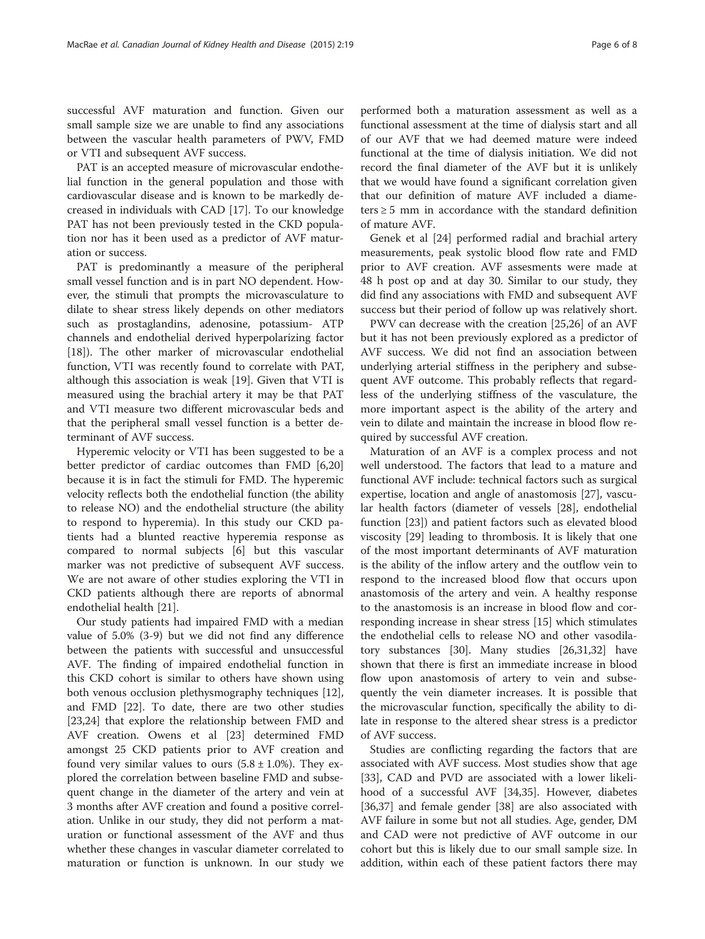successful AVF maturation and function. Given our small sample size we are unable to find any associations between the vascular health parameters of PWV, FMD or VTI and subsequent AVF success.

PAT is an accepted measure of microvascular endothelial function in the general population and those with cardiovascular disease and is known to be markedly decreased in individuals with CAD [[17\]](#page-7-0). To our knowledge PAT has not been previously tested in the CKD population nor has it been used as a predictor of AVF maturation or success.

PAT is predominantly a measure of the peripheral small vessel function and is in part NO dependent. However, the stimuli that prompts the microvasculature to dilate to shear stress likely depends on other mediators such as prostaglandins, adenosine, potassium- ATP channels and endothelial derived hyperpolarizing factor [[18\]](#page-7-0)). The other marker of microvascular endothelial function, VTI was recently found to correlate with PAT, although this association is weak [[19\]](#page-7-0). Given that VTI is measured using the brachial artery it may be that PAT and VTI measure two different microvascular beds and that the peripheral small vessel function is a better determinant of AVF success.

Hyperemic velocity or VTI has been suggested to be a better predictor of cardiac outcomes than FMD [\[6](#page-6-0),[20](#page-7-0)] because it is in fact the stimuli for FMD. The hyperemic velocity reflects both the endothelial function (the ability to release NO) and the endothelial structure (the ability to respond to hyperemia). In this study our CKD patients had a blunted reactive hyperemia response as compared to normal subjects [\[6](#page-6-0)] but this vascular marker was not predictive of subsequent AVF success. We are not aware of other studies exploring the VTI in CKD patients although there are reports of abnormal endothelial health [\[21\]](#page-7-0).

Our study patients had impaired FMD with a median value of 5.0% (3-9) but we did not find any difference between the patients with successful and unsuccessful AVF. The finding of impaired endothelial function in this CKD cohort is similar to others have shown using both venous occlusion plethysmography techniques [\[12](#page-6-0)], and FMD [\[22](#page-7-0)]. To date, there are two other studies [[23,24\]](#page-7-0) that explore the relationship between FMD and AVF creation. Owens et al [\[23\]](#page-7-0) determined FMD amongst 25 CKD patients prior to AVF creation and found very similar values to ours  $(5.8 \pm 1.0\%)$ . They explored the correlation between baseline FMD and subsequent change in the diameter of the artery and vein at 3 months after AVF creation and found a positive correlation. Unlike in our study, they did not perform a maturation or functional assessment of the AVF and thus whether these changes in vascular diameter correlated to maturation or function is unknown. In our study we performed both a maturation assessment as well as a functional assessment at the time of dialysis start and all of our AVF that we had deemed mature were indeed functional at the time of dialysis initiation. We did not record the final diameter of the AVF but it is unlikely that we would have found a significant correlation given that our definition of mature AVF included a diameters ≥ 5 mm in accordance with the standard definition of mature AVF.

Genek et al [[24\]](#page-7-0) performed radial and brachial artery measurements, peak systolic blood flow rate and FMD prior to AVF creation. AVF assesments were made at 48 h post op and at day 30. Similar to our study, they did find any associations with FMD and subsequent AVF success but their period of follow up was relatively short.

PWV can decrease with the creation [[25](#page-7-0),[26](#page-7-0)] of an AVF but it has not been previously explored as a predictor of AVF success. We did not find an association between underlying arterial stiffness in the periphery and subsequent AVF outcome. This probably reflects that regardless of the underlying stiffness of the vasculature, the more important aspect is the ability of the artery and vein to dilate and maintain the increase in blood flow required by successful AVF creation.

Maturation of an AVF is a complex process and not well understood. The factors that lead to a mature and functional AVF include: technical factors such as surgical expertise, location and angle of anastomosis [[27\]](#page-7-0), vascular health factors (diameter of vessels [[28\]](#page-7-0), endothelial function [\[23](#page-7-0)]) and patient factors such as elevated blood viscosity [[29\]](#page-7-0) leading to thrombosis. It is likely that one of the most important determinants of AVF maturation is the ability of the inflow artery and the outflow vein to respond to the increased blood flow that occurs upon anastomosis of the artery and vein. A healthy response to the anastomosis is an increase in blood flow and corresponding increase in shear stress [[15\]](#page-7-0) which stimulates the endothelial cells to release NO and other vasodilatory substances [[30\]](#page-7-0). Many studies [[26](#page-7-0),[31](#page-7-0),[32](#page-7-0)] have shown that there is first an immediate increase in blood flow upon anastomosis of artery to vein and subsequently the vein diameter increases. It is possible that the microvascular function, specifically the ability to dilate in response to the altered shear stress is a predictor of AVF success.

Studies are conflicting regarding the factors that are associated with AVF success. Most studies show that age [[33\]](#page-7-0), CAD and PVD are associated with a lower likelihood of a successful AVF [[34,35\]](#page-7-0). However, diabetes [[36,37\]](#page-7-0) and female gender [[38\]](#page-7-0) are also associated with AVF failure in some but not all studies. Age, gender, DM and CAD were not predictive of AVF outcome in our cohort but this is likely due to our small sample size. In addition, within each of these patient factors there may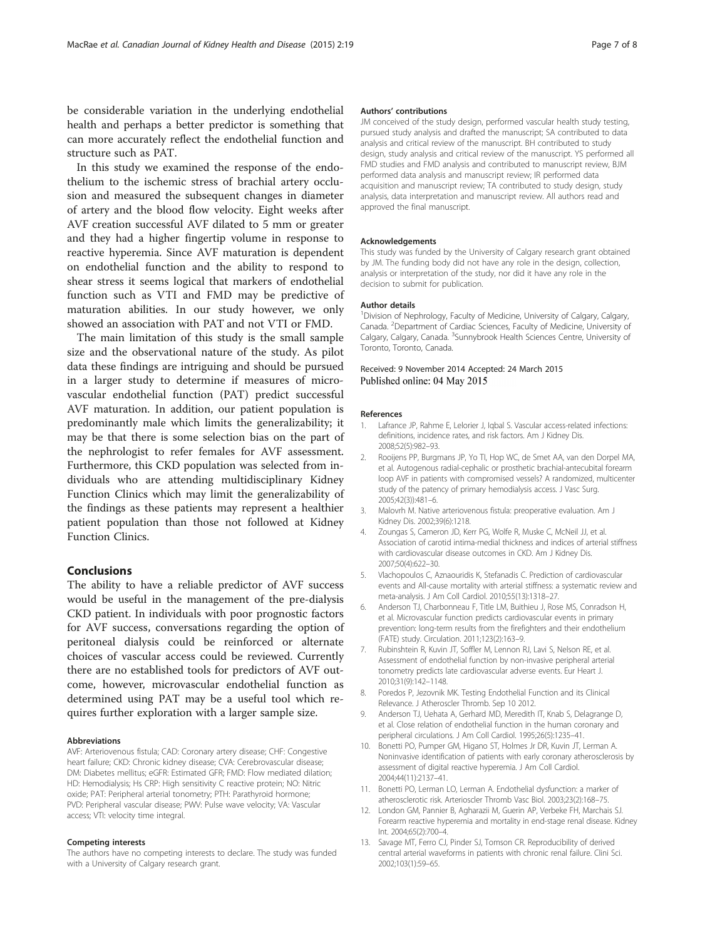<span id="page-6-0"></span>be considerable variation in the underlying endothelial health and perhaps a better predictor is something that can more accurately reflect the endothelial function and structure such as PAT.

In this study we examined the response of the endothelium to the ischemic stress of brachial artery occlusion and measured the subsequent changes in diameter of artery and the blood flow velocity. Eight weeks after AVF creation successful AVF dilated to 5 mm or greater and they had a higher fingertip volume in response to reactive hyperemia. Since AVF maturation is dependent on endothelial function and the ability to respond to shear stress it seems logical that markers of endothelial function such as VTI and FMD may be predictive of maturation abilities. In our study however, we only showed an association with PAT and not VTI or FMD.

The main limitation of this study is the small sample size and the observational nature of the study. As pilot data these findings are intriguing and should be pursued in a larger study to determine if measures of microvascular endothelial function (PAT) predict successful AVF maturation. In addition, our patient population is predominantly male which limits the generalizability; it may be that there is some selection bias on the part of the nephrologist to refer females for AVF assessment. Furthermore, this CKD population was selected from individuals who are attending multidisciplinary Kidney Function Clinics which may limit the generalizability of the findings as these patients may represent a healthier patient population than those not followed at Kidney Function Clinics.

## Conclusions

The ability to have a reliable predictor of AVF success would be useful in the management of the pre-dialysis CKD patient. In individuals with poor prognostic factors for AVF success, conversations regarding the option of peritoneal dialysis could be reinforced or alternate choices of vascular access could be reviewed. Currently there are no established tools for predictors of AVF outcome, however, microvascular endothelial function as determined using PAT may be a useful tool which requires further exploration with a larger sample size.

#### Abbreviations

AVF: Arteriovenous fistula; CAD: Coronary artery disease; CHF: Congestive heart failure; CKD: Chronic kidney disease; CVA: Cerebrovascular disease; DM: Diabetes mellitus; eGFR: Estimated GFR; FMD: Flow mediated dilation; HD: Hemodialysis; Hs CRP: High sensitivity C reactive protein; NO: Nitric oxide; PAT: Peripheral arterial tonometry; PTH: Parathyroid hormone; PVD: Peripheral vascular disease; PWV: Pulse wave velocity; VA: Vascular access; VTI: velocity time integral.

#### Competing interests

The authors have no competing interests to declare. The study was funded with a University of Calgary research grant.

#### Authors' contributions

JM conceived of the study design, performed vascular health study testing, pursued study analysis and drafted the manuscript; SA contributed to data analysis and critical review of the manuscript. BH contributed to study design, study analysis and critical review of the manuscript. YS performed all FMD studies and FMD analysis and contributed to manuscript review, BJM performed data analysis and manuscript review; IR performed data acquisition and manuscript review; TA contributed to study design, study analysis, data interpretation and manuscript review. All authors read and approved the final manuscript.

#### Acknowledgements

This study was funded by the University of Calgary research grant obtained by JM. The funding body did not have any role in the design, collection, analysis or interpretation of the study, nor did it have any role in the decision to submit for publication.

#### Author details

<sup>1</sup> Division of Nephrology, Faculty of Medicine, University of Calgary, Calgary, Canada. <sup>2</sup>Department of Cardiac Sciences, Faculty of Medicine, University of Calgary, Calgary, Canada. <sup>3</sup>Sunnybrook Health Sciences Centre, University of Toronto, Toronto, Canada.

#### Received: 9 November 2014 Accepted: 24 March 2015 Published online: 04 May 2015

#### References

- 1. Lafrance JP, Rahme E, Lelorier J, Iqbal S. Vascular access-related infections: definitions, incidence rates, and risk factors. Am J Kidney Dis. 2008;52(5):982–93.
- 2. Rooijens PP, Burgmans JP, Yo TI, Hop WC, de Smet AA, van den Dorpel MA, et al. Autogenous radial-cephalic or prosthetic brachial-antecubital forearm loop AVF in patients with compromised vessels? A randomized, multicenter study of the patency of primary hemodialysis access. J Vasc Surg. 2005;42(3)):481–6.
- 3. Malovrh M. Native arteriovenous fistula: preoperative evaluation. Am J Kidney Dis. 2002;39(6):1218.
- 4. Zoungas S, Cameron JD, Kerr PG, Wolfe R, Muske C, McNeil JJ, et al. Association of carotid intima-medial thickness and indices of arterial stiffness with cardiovascular disease outcomes in CKD. Am J Kidney Dis. 2007;50(4):622–30.
- 5. Vlachopoulos C, Aznaouridis K, Stefanadis C. Prediction of cardiovascular events and All-cause mortality with arterial stiffness: a systematic review and meta-analysis. J Am Coll Cardiol. 2010;55(13):1318–27.
- 6. Anderson TJ, Charbonneau F, Title LM, Buithieu J, Rose MS, Conradson H, et al. Microvascular function predicts cardiovascular events in primary prevention: long-term results from the firefighters and their endothelium (FATE) study. Circulation. 2011;123(2):163–9.
- 7. Rubinshtein R, Kuvin JT, Soffler M, Lennon RJ, Lavi S, Nelson RE, et al. Assessment of endothelial function by non-invasive peripheral arterial tonometry predicts late cardiovascular adverse events. Eur Heart J. 2010;31(9):142–1148.
- 8. Poredos P, Jezovnik MK. Testing Endothelial Function and its Clinical Relevance. [J Atheroscler Thromb.](http://www.ncbi.nlm.nih.gov/pubmed/?term=Poredos+P%2C+Jezovnik+MK.+Testing+Endothelial+Function+and+its+Clinical+Relevance#Journal%20of%20atherosclerosis%20and%20thrombosis.) Sep 10 2012.
- 9. Anderson TJ, Uehata A, Gerhard MD, Meredith IT, Knab S, Delagrange D, et al. Close relation of endothelial function in the human coronary and peripheral circulations. J Am Coll Cardiol. 1995;26(5):1235–41.
- 10. Bonetti PO, Pumper GM, Higano ST, Holmes Jr DR, Kuvin JT, Lerman A. Noninvasive identification of patients with early coronary atherosclerosis by assessment of digital reactive hyperemia. J Am Coll Cardiol. 2004;44(11):2137–41.
- 11. Bonetti PO, Lerman LO, Lerman A. Endothelial dysfunction: a marker of atherosclerotic risk. Arterioscler Thromb Vasc Biol. 2003;23(2):168–75.
- 12. London GM, Pannier B, Agharazii M, Guerin AP, Verbeke FH, Marchais SJ. Forearm reactive hyperemia and mortality in end-stage renal disease. Kidney Int. 2004;65(2):700–4.
- 13. Savage MT, Ferro CJ, Pinder SJ, Tomson CR. Reproducibility of derived central arterial waveforms in patients with chronic renal failure. Clini Sci. 2002;103(1):59–65.